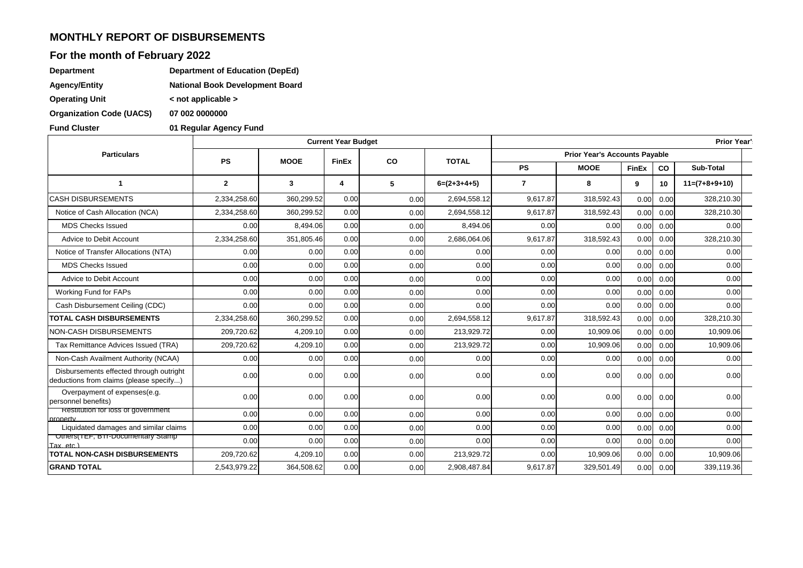#### **MONTHLY REPORT OF DISBURSEMENTS**

# **For the month of February 2022**

| <b>Department</b>     | Department of Education (DepEd)        |
|-----------------------|----------------------------------------|
| <b>Agency/Entity</b>  | <b>National Book Development Board</b> |
| <b>Operating Unit</b> | $\leq$ not applicable $\geq$           |

**Organization Code (UACS) 07 002 0000000**

**Fund Cluster 01 Regular Agency Fund**

|                                                                                    |                |             | <b>Current Year Budget</b> |              |               |              |                                      |              |      | <b>Prior Year'</b> |  |  |
|------------------------------------------------------------------------------------|----------------|-------------|----------------------------|--------------|---------------|--------------|--------------------------------------|--------------|------|--------------------|--|--|
| <b>Particulars</b>                                                                 | <b>PS</b>      | <b>MOOE</b> |                            | <b>FinEx</b> |               | <b>TOTAL</b> | <b>Prior Year's Accounts Payable</b> |              |      |                    |  |  |
|                                                                                    |                |             |                            | co           |               | <b>PS</b>    | <b>MOOE</b>                          | <b>FinEx</b> | co   | Sub-Total          |  |  |
| -1                                                                                 | $\overline{2}$ | 3           | 4                          | 5            | $6=(2+3+4+5)$ | 7            | 8                                    | 9            | 10   | $11=(7+8+9+10)$    |  |  |
| <b>CASH DISBURSEMENTS</b>                                                          | 2,334,258.60   | 360,299.52  | 0.00                       | 0.00         | 2,694,558.12  | 9,617.87     | 318,592.43                           | 0.00         | 0.00 | 328,210.30         |  |  |
| Notice of Cash Allocation (NCA)                                                    | 2,334,258.60   | 360,299.52  | 0.00                       | 0.00         | 2,694,558.12  | 9.617.87     | 318,592.43                           | 0.00         | 0.00 | 328,210.30         |  |  |
| <b>MDS Checks Issued</b>                                                           | 0.00           | 8,494.06    | 0.00                       | 0.00         | 8,494.06      | 0.00         | 0.00                                 | 0.00         | 0.00 | 0.00               |  |  |
| Advice to Debit Account                                                            | 2,334,258.60   | 351,805.46  | 0.00                       | 0.00         | 2,686,064.06  | 9,617.87     | 318,592.43                           | 0.00         | 0.00 | 328,210.30         |  |  |
| Notice of Transfer Allocations (NTA)                                               | 0.00           | 0.00        | 0.00                       | 0.00         | 0.00          | 0.00         | 0.00                                 | 0.00         | 0.00 | 0.00               |  |  |
| <b>MDS Checks Issued</b>                                                           | 0.00           | 0.00        | 0.00                       | 0.00         | 0.00          | 0.00         | 0.00                                 | 0.00         | 0.00 | 0.00               |  |  |
| Advice to Debit Account                                                            | 0.00           | 0.00        | 0.00                       | 0.00         | 0.00          | 0.00         | 0.00                                 | 0.00         | 0.00 | 0.00               |  |  |
| Working Fund for FAPs                                                              | 0.00           | 0.00        | 0.00                       | 0.00         | 0.00          | 0.00         | 0.00                                 | 0.00         | 0.00 | 0.00               |  |  |
| Cash Disbursement Ceiling (CDC)                                                    | 0.00           | 0.00        | 0.00                       | 0.00         | 0.00          | 0.00         | 0.00                                 | 0.00         | 0.00 | 0.00               |  |  |
| <b>TOTAL CASH DISBURSEMENTS</b>                                                    | 2,334,258.60   | 360,299.52  | 0.00                       | 0.00         | 2,694,558.12  | 9,617.87     | 318,592.43                           | 0.00         | 0.00 | 328,210.30         |  |  |
| NON-CASH DISBURSEMENTS                                                             | 209,720.62     | 4,209.10    | 0.00                       | 0.00         | 213,929.72    | 0.00         | 10,909.06                            | 0.00         | 0.00 | 10,909.06          |  |  |
| Tax Remittance Advices Issued (TRA)                                                | 209,720.62     | 4,209.10    | 0.00                       | 0.00         | 213,929.72    | 0.00         | 10,909.06                            | 0.00         | 0.00 | 10,909.06          |  |  |
| Non-Cash Availment Authority (NCAA)                                                | 0.00           | 0.00        | 0.00                       | 0.00         | 0.00          | 0.00         | 0.00                                 | 0.00         | 0.00 | 0.00               |  |  |
| Disbursements effected through outright<br>deductions from claims (please specify) | 0.00           | 0.00        | 0.00                       | 0.00         | 0.00          | 0.00         | 0.00                                 | 0.00         | 0.00 | 0.00               |  |  |
| Overpayment of expenses(e.g.<br>personnel benefits)                                | 0.0C           | 0.00        | 0.00                       | 0.00         | 0.00          | 0.00         | 0.00                                 | 0.00         | 0.00 | 0.00               |  |  |
| Restitution for loss of government<br>property                                     | 0.00           | 0.00        | 0.00                       | 0.00         | 0.00          | 0.00         | 0.00                                 | 0.00         | 0.00 | 0.00               |  |  |
| Liquidated damages and similar claims                                              | 0.00           | 0.00        | 0.00                       | 0.00         | 0.00          | 0.00         | 0.00                                 | 0.00         | 0.00 | 0.00               |  |  |
| Others(TEF, BTPDocumentary Stamp)<br>Tax. etc.)                                    | 0.00           | 0.00        | 0.00                       | 0.00         | 0.00          | 0.00         | 0.00                                 | 0.00         | 0.00 | 0.00               |  |  |
| <b>TOTAL NON-CASH DISBURSEMENTS</b>                                                | 209,720.62     | 4,209.10    | 0.00                       | 0.00         | 213,929.72    | 0.00         | 10,909.06                            | 0.00         | 0.00 | 10,909.06          |  |  |
| <b>GRAND TOTAL</b>                                                                 | 2,543,979.22   | 364,508.62  | 0.00                       | 0.00         | 2,908,487.84  | 9,617.87     | 329,501.49                           | 0.00         | 0.00 | 339,119.36         |  |  |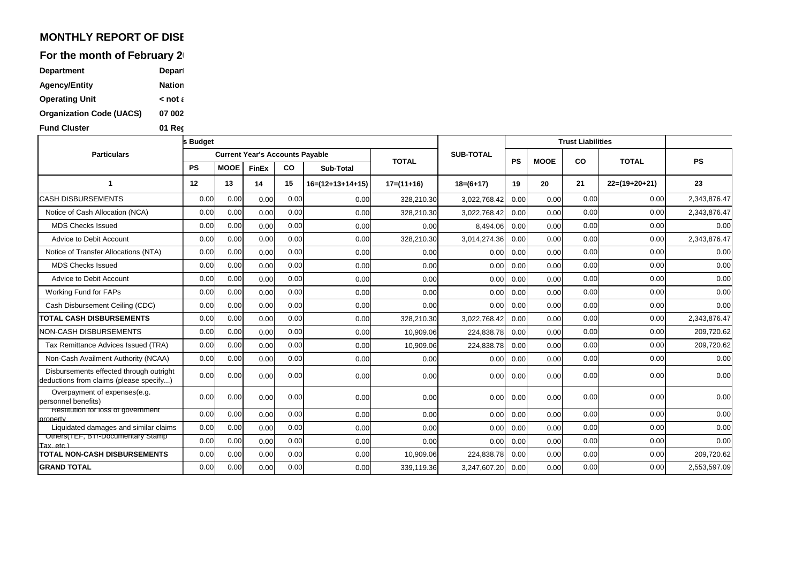## **MONTHLY REPORT OF DISE**

For the month of February 2

| <b>Department</b>               | <b>Depart</b> |
|---------------------------------|---------------|
| <b>Agency/Entity</b>            | <b>Nation</b> |
| <b>Operating Unit</b>           | $\leq$ not a  |
| <b>Organization Code (UACS)</b> | 07 002        |
| <b>Fund Cluster</b>             | 01 Rec        |

|                                                                                    | s Budget  |             |                                        |      |                    |              |                  |           |             | <b>Trust Liabilities</b> |                 |              |  |
|------------------------------------------------------------------------------------|-----------|-------------|----------------------------------------|------|--------------------|--------------|------------------|-----------|-------------|--------------------------|-----------------|--------------|--|
| <b>Particulars</b>                                                                 |           |             | <b>Current Year's Accounts Payable</b> |      |                    | <b>TOTAL</b> | <b>SUB-TOTAL</b> | <b>PS</b> | <b>MOOE</b> | <b>CO</b>                | <b>TOTAL</b>    | <b>PS</b>    |  |
|                                                                                    | <b>PS</b> | <b>MOOE</b> | <b>FinEx</b>                           | CO   | Sub-Total          |              |                  |           |             |                          |                 |              |  |
|                                                                                    | 12        | 13          | 14                                     | 15   | $16=(12+13+14+15)$ | $17=(11+16)$ | $18=(6+17)$      | 19        | 20          | 21                       | $22=(19+20+21)$ | 23           |  |
| <b>CASH DISBURSEMENTS</b>                                                          | 0.00      | 0.00        | 0.00                                   | 0.00 | 0.00               | 328,210.30   | 3,022,768.4      | 0.00      | 0.00        | 0.00                     | 0.00            | 2,343,876.47 |  |
| Notice of Cash Allocation (NCA)                                                    | 0.00      | 0.00        | 0.00                                   | 0.00 | 0.00               | 328,210.30   | 3,022,768.42     | 0.00      | 0.00        | 0.00                     | 0.00            | 2,343,876.47 |  |
| <b>MDS Checks Issued</b>                                                           | 0.00      | 0.00        | 0.00                                   | 0.00 | 0.00               | 0.00         | 8,494.06         | 0.00      | 0.00        | 0.00                     | 0.00            | 0.00         |  |
| Advice to Debit Account                                                            | 0.00      | 0.00        | 0.00                                   | 0.00 | 0.00               | 328,210.30   | 3,014,274.36     | 0.00      | 0.00        | 0.00                     | 0.00            | 2,343,876.47 |  |
| Notice of Transfer Allocations (NTA)                                               | 0.00      | 0.00        | 0.00                                   | 0.00 | 0.00               | 0.00         | 0.00             | 0.00      | 0.00        | 0.00                     | 0.00            | 0.00         |  |
| <b>MDS Checks Issued</b>                                                           | 0.00      | 0.00        | 0.00                                   | 0.00 | 0.00               | 0.00         | 0.00             | 0.00      | 0.00        | 0.00                     | 0.00            | 0.00         |  |
| Advice to Debit Account                                                            | 0.00      | 0.00        | 0.00                                   | 0.00 | 0.00               | 0.00         | 0.00             | 0.00      | 0.00        | 0.00                     | 0.00            | 0.00         |  |
| Working Fund for FAPs                                                              | 0.00      | 0.00        | 0.00                                   | 0.00 | 0.00               | 0.00         | 0.00             | 0.00      | 0.00        | 0.00                     | 0.00            | 0.00         |  |
| Cash Disbursement Ceiling (CDC)                                                    | 0.00      | 0.00        | 0.00                                   | 0.00 | 0.00               | 0.00         | 0.00             | 0.00      | 0.00        | 0.00                     | 0.00            | 0.00         |  |
| <b>TOTAL CASH DISBURSEMENTS</b>                                                    | 0.00      | 0.00        | 0.00                                   | 0.00 | 0.00               | 328,210.30   | 3,022,768.42     | 0.00      | 0.00        | 0.00                     | 0.00            | 2,343,876.47 |  |
| <b>NON-CASH DISBURSEMENTS</b>                                                      | 0.00      | 0.00        | 0.00                                   | 0.00 | 0.00               | 10,909.06    | 224,838.78       | 0.00      | 0.00        | 0.00                     | 0.00            | 209,720.62   |  |
| Tax Remittance Advices Issued (TRA)                                                | 0.00      | 0.00        | 0.00                                   | 0.00 | 0.00               | 10,909.06    | 224,838.78       | 0.00      | 0.00        | 0.00                     | 0.00            | 209,720.62   |  |
| Non-Cash Availment Authority (NCAA)                                                | 0.00      | 0.00        | 0.00                                   | 0.00 | 0.00               | 0.00         | 0.00             | 0.00      | 0.00        | 0.00                     | 0.00            | 0.00         |  |
| Disbursements effected through outright<br>deductions from claims (please specify) | 0.00      | 0.00        | 0.00                                   | 0.00 | 0.00               | 0.00         | 0.00             | 0.00      | 0.00        | 0.00                     | 0.00            | 0.00         |  |
| Overpayment of expenses(e.g.<br>personnel benefits)                                | 0.00      | 0.00        | 0.00                                   | 0.00 | 0.00               | 0.00         | 0.00             | 0.00      | 0.00        | 0.00                     | 0.00            | 0.00         |  |
| Restitution for loss of government<br>property                                     | 0.00      | 0.00        | 0.00                                   | 0.00 | 0.00               | 0.00         | 0.00             | 0.00      | 0.00        | 0.00                     | 0.00            | 0.00         |  |
| Liquidated damages and similar claims                                              | 0.00      | 0.00        | 0.00                                   | 0.00 | 0.00               | 0.00         | 0.00             | 0.00      | 0.00        | 0.00                     | 0.00            | 0.00         |  |
| Others(TEF, BTPDocumentary Stamp<br>Tax, etc.                                      | 0.00      | 0.00        | 0.00                                   | 0.00 | 0.00               | 0.00         | 0.00             | 0.00      | 0.00        | 0.00                     | 0.00            | 0.00         |  |
| <b>TOTAL NON-CASH DISBURSEMENTS</b>                                                | 0.00      | 0.00        | 0.00                                   | 0.00 | 0.00               | 10,909.06    | 224,838.78       | 0.00      | 0.00        | 0.00                     | 0.00            | 209,720.62   |  |
| <b>GRAND TOTAL</b>                                                                 | 0.00      | 0.00        | 0.00                                   | 0.00 | 0.00               | 339,119.36   | 3,247,607.20     | 0.00      | 0.00        | 0.00                     | 0.00            | 2,553,597.09 |  |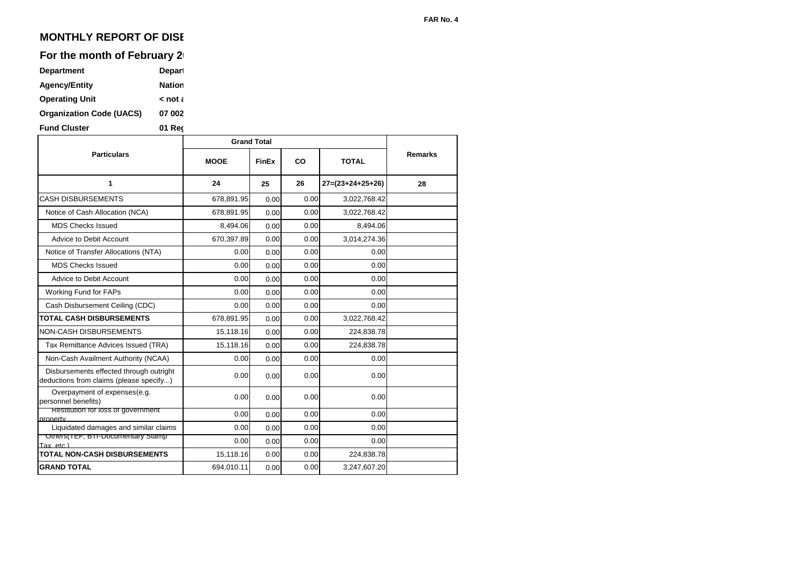## **MONTHLY REPORT OF DISE**

#### For the month of February 2

| <b>Department</b>               | Depart        |
|---------------------------------|---------------|
| <b>Agency/Entity</b>            | <b>Nation</b> |
| <b>Operating Unit</b>           | $\leq$ not a  |
| <b>Organization Code (UACS)</b> | 07 002        |
| Ernst Abreten                   | 84 B.J        |

**Fund Cluster 01 Reg** 

|                                                                                    | <b>Grand Total</b> |              |      |                    |                |
|------------------------------------------------------------------------------------|--------------------|--------------|------|--------------------|----------------|
| <b>Particulars</b>                                                                 | <b>MOOE</b>        | <b>FinEx</b> | CO   | <b>TOTAL</b>       | <b>Remarks</b> |
| 1                                                                                  | 24                 | 25           | 26   | $27=(23+24+25+26)$ | 28             |
| <b>CASH DISBURSEMENTS</b>                                                          | 678,891.95         | 0.00         | 0.00 | 3,022,768.42       |                |
| Notice of Cash Allocation (NCA)                                                    | 678,891.95         | 0.00         | 0.00 | 3,022,768.42       |                |
| <b>MDS Checks Issued</b>                                                           | 8,494.06           | 0.00         | 0.00 | 8,494.06           |                |
| Advice to Debit Account                                                            | 670,397.89         | 0.00         | 0.00 | 3,014,274.36       |                |
| Notice of Transfer Allocations (NTA)                                               | 0.00               | 0.00         | 0.00 | 0.00               |                |
| <b>MDS Checks Issued</b>                                                           | 0.00               | 0.00         | 0.00 | 0.00               |                |
| Advice to Debit Account                                                            | 0.00               | 0.00         | 0.00 | 0.00               |                |
| Working Fund for FAPs                                                              | 0.00               | 0.00         | 0.00 | 0.00               |                |
| Cash Disbursement Ceiling (CDC)                                                    | 0.00               | 0.00         | 0.00 | 0.00               |                |
| <b>TOTAL CASH DISBURSEMENTS</b>                                                    | 678,891.95         | 0.00         | 0.00 | 3,022,768.42       |                |
| <b>NON-CASH DISBURSEMENTS</b>                                                      | 15,118.16          | 0.00         | 0.00 | 224,838.78         |                |
| Tax Remittance Advices Issued (TRA)                                                | 15,118.16          | 0.00         | 0.00 | 224,838.78         |                |
| Non-Cash Availment Authority (NCAA)                                                | 0.00               | 0.00         | 0.00 | 0.00               |                |
| Disbursements effected through outright<br>deductions from claims (please specify) | 0.00               | 0.00         | 0.00 | 0.00               |                |
| Overpayment of expenses(e.g.<br>personnel benefits)                                | 0.00               | 0.00         | 0.00 | 0.00               |                |
| Restitution for loss of government<br>property                                     | 0.00               | 0.00         | 0.00 | 0.00               |                |
| Liquidated damages and similar claims                                              | 0.00               | 0.00         | 0.00 | 0.00               |                |
| Uthers(TEF, BTP-Documentary Stamp<br>Tax. etc.)                                    | 0.00               | 0.00         | 0.00 | 0.00               |                |
| <b>TOTAL NON-CASH DISBURSEMENTS</b>                                                | 15,118.16          | 0.00         | 0.00 | 224,838.78         |                |
| <b>GRAND TOTAL</b>                                                                 | 694,010.11         | 0.00         | 0.00 | 3,247,607.20       |                |